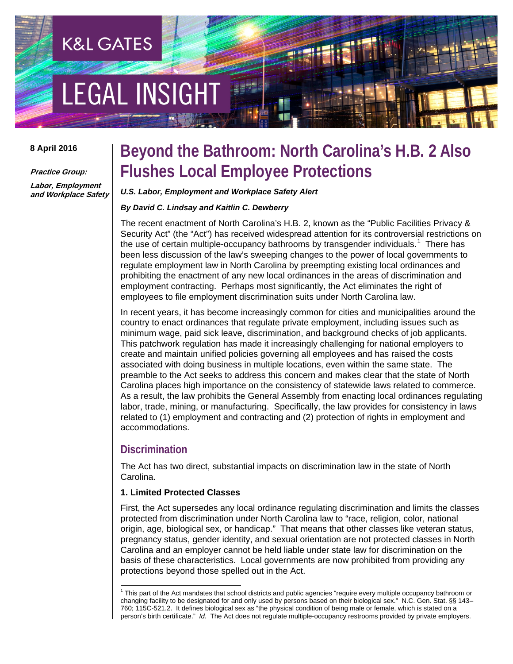# **EGAL INSIGHT**

**K&L GATES** 

#### **8 April 2016**

**Practice Group:**

**Labor, Employment and Workplace Safety**

# **Beyond the Bathroom: North Carolina's H.B. 2 Also Flushes Local Employee Protections**

#### *U.S. Labor, Employment and Workplace Safety Alert*

#### *By David C. Lindsay and Kaitlin C. Dewberry*

The recent enactment of North Carolina's H.B. 2, known as the "Public Facilities Privacy & Security Act" (the "Act") has received widespread attention for its controversial restrictions on the use of certain multiple-occupancy bathrooms by transgender individuals.<sup>[1](#page-0-0)</sup> There has been less discussion of the law's sweeping changes to the power of local governments to regulate employment law in North Carolina by preempting existing local ordinances and prohibiting the enactment of any new local ordinances in the areas of discrimination and employment contracting. Perhaps most significantly, the Act eliminates the right of employees to file employment discrimination suits under North Carolina law.

In recent years, it has become increasingly common for cities and municipalities around the country to enact ordinances that regulate private employment, including issues such as minimum wage, paid sick leave, discrimination, and background checks of job applicants. This patchwork regulation has made it increasingly challenging for national employers to create and maintain unified policies governing all employees and has raised the costs associated with doing business in multiple locations, even within the same state. The preamble to the Act seeks to address this concern and makes clear that the state of North Carolina places high importance on the consistency of statewide laws related to commerce. As a result, the law prohibits the General Assembly from enacting local ordinances regulating labor, trade, mining, or manufacturing. Specifically, the law provides for consistency in laws related to (1) employment and contracting and (2) protection of rights in employment and accommodations.

## **Discrimination**

The Act has two direct, substantial impacts on discrimination law in the state of North Carolina.

#### **1. Limited Protected Classes**

First, the Act supersedes any local ordinance regulating discrimination and limits the classes protected from discrimination under North Carolina law to "race, religion, color, national origin, age, biological sex, or handicap." That means that other classes like veteran status, pregnancy status, gender identity, and sexual orientation are not protected classes in North Carolina and an employer cannot be held liable under state law for discrimination on the basis of these characteristics. Local governments are now prohibited from providing any protections beyond those spelled out in the Act.

<span id="page-0-0"></span><sup>&</sup>lt;sup>1</sup> This part of the Act mandates that school districts and public agencies "require every multiple occupancy bathroom or changing facility to be designated for and only used by persons based on their biological sex." N.C. Gen. Stat. §§ 143– 760; 115C-521.2. It defines biological sex as "the physical condition of being male or female, which is stated on a person's birth certificate." *Id*. The Act does not regulate multiple-occupancy restrooms provided by private employers.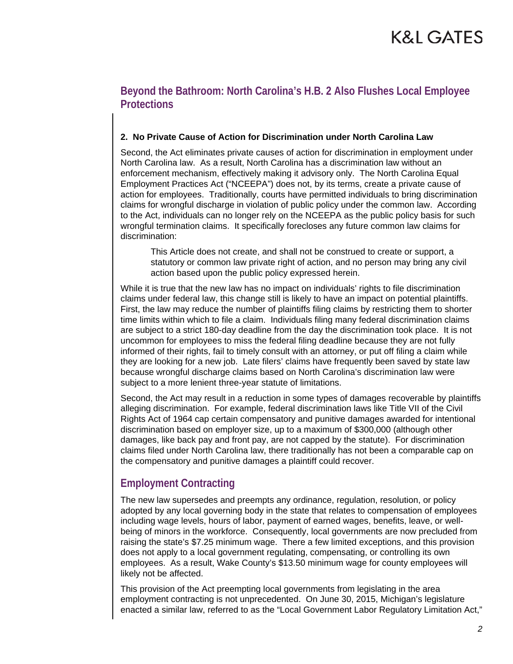# K&L GATES

# **Beyond the Bathroom: North Carolina's H.B. 2 Also Flushes Local Employee Protections**

### **2. No Private Cause of Action for Discrimination under North Carolina Law**

Second, the Act eliminates private causes of action for discrimination in employment under North Carolina law. As a result, North Carolina has a discrimination law without an enforcement mechanism, effectively making it advisory only. The North Carolina Equal Employment Practices Act ("NCEEPA") does not, by its terms, create a private cause of action for employees. Traditionally, courts have permitted individuals to bring discrimination claims for wrongful discharge in violation of public policy under the common law. According to the Act, individuals can no longer rely on the NCEEPA as the public policy basis for such wrongful termination claims. It specifically forecloses any future common law claims for discrimination:

This Article does not create, and shall not be construed to create or support, a statutory or common law private right of action, and no person may bring any civil action based upon the public policy expressed herein.

While it is true that the new law has no impact on individuals' rights to file discrimination claims under federal law, this change still is likely to have an impact on potential plaintiffs. First, the law may reduce the number of plaintiffs filing claims by restricting them to shorter time limits within which to file a claim. Individuals filing many federal discrimination claims are subject to a strict 180-day deadline from the day the discrimination took place. It is not uncommon for employees to miss the federal filing deadline because they are not fully informed of their rights, fail to timely consult with an attorney, or put off filing a claim while they are looking for a new job. Late filers' claims have frequently been saved by state law because wrongful discharge claims based on North Carolina's discrimination law were subject to a more lenient three-year statute of limitations.

Second, the Act may result in a reduction in some types of damages recoverable by plaintiffs alleging discrimination. For example, federal discrimination laws like Title VII of the Civil Rights Act of 1964 cap certain compensatory and punitive damages awarded for intentional discrimination based on employer size, up to a maximum of \$300,000 (although other damages, like back pay and front pay, are not capped by the statute). For discrimination claims filed under North Carolina law, there traditionally has not been a comparable cap on the compensatory and punitive damages a plaintiff could recover.

# **Employment Contracting**

The new law supersedes and preempts any ordinance, regulation, resolution, or policy adopted by any local governing body in the state that relates to compensation of employees including wage levels, hours of labor, payment of earned wages, benefits, leave, or wellbeing of minors in the workforce. Consequently, local governments are now precluded from raising the state's \$7.25 minimum wage. There a few limited exceptions, and this provision does not apply to a local government regulating, compensating, or controlling its own employees. As a result, Wake County's \$13.50 minimum wage for county employees will likely not be affected.

This provision of the Act preempting local governments from legislating in the area employment contracting is not unprecedented. On June 30, 2015, Michigan's legislature enacted a similar law, referred to as the "Local Government Labor Regulatory Limitation Act,"